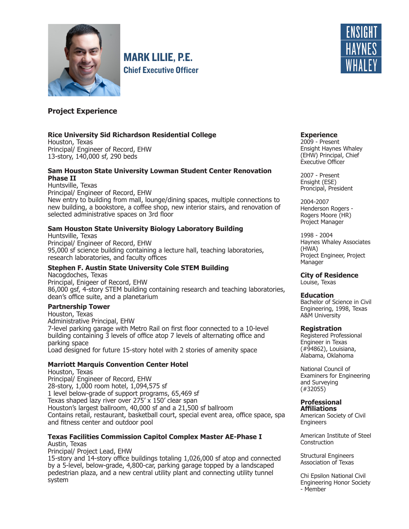

MARK LILIE, P.E. Chief Executive Officer



# **Project Experience**

## **Rice University Sid Richardson Residential College**

Houston, Texas Principal/ Engineer of Record, EHW 13-story, 140,000 sf, 290 beds

## **Sam Houston State University Lowman Student Center Renovation Phase II**

Huntsville, Texas Principal/ Engineer of Record, EHW New entry to building from mall, lounge/dining spaces, multiple connections to new building, a bookstore, a coffee shop, new interior stairs, and renovation of selected administrative spaces on 3rd floor

## **Sam Houston State University Biology Laboratory Building**

Huntsville, Texas Principal/ Engineer of Record, EHW 95,000 sf science building containing a lecture hall, teaching laboratories, research laboratories, and faculty offices

## **Stephen F. Austin State University Cole STEM Building**

Nacogdoches, Texas Principal, Enigeer of Record, EHW 86,000 gsf, 4-story STEM building containing research and teaching laboratories, dean's office suite, and a planetarium

#### **Partnership Tower**

Houston, Texas Administrative Principal, EHW 7-level parking garage with Metro Rail on first floor connected to a 10-level building containing 3 levels of office atop 7 levels of alternating office and parking space Load designed for future 15-story hotel with 2 stories of amenity space

## **Marriott Marquis Convention Center Hotel**

Houston, Texas Principal/ Engineer of Record, EHW 28-story, 1,000 room hotel, 1,094,575 sf 1 level below-grade of support programs, 65,469 sf Texas shaped lazy river over 275' x 150' clear span Houston's largest ballroom, 40,000 sf and a 21,500 sf ballroom Contains retail, restaurant, basketball court, special event area, office space, spa and fitness center and outdoor pool

## **Texas Facilities Commission Capitol Complex Master AE-Phase I** Austin, Texas

Principal/ Project Lead, EHW

15-story and 14-story office buildings totaling 1,026,000 sf atop and connected by a 5-level, below-grade, 4,800-car, parking garage topped by a landscaped pedestrian plaza, and a new central utility plant and connecting utility tunnel system

#### **Experience**

2009 - Present Ensight Haynes Whaley (EHW) Principal, Chief Executive Officer

2007 - Present Ensight (ESE) Proncipal, President

2004-2007 Henderson Rogers - Rogers Moore (HR) Project Manager

1998 - 2004 Haynes Whaley Associates (HWA) Project Engineer, Project Manager

**City of Residence** Louise, Texas

#### **Education**

Bachelor of Science in Civil Engineering, 1998, Texas A&M University

#### **Registration**

Registered Professional Engineer in Texas (#94862), Louisiana, Alabama, Oklahoma

National Council of Examiners for Engineering and Surveying (#32055)

#### **Professional Affiliations**

American Society of Civil **Engineers** 

American Institute of Steel **Construction** 

Structural Engineers Association of Texas

Chi Epsilon National Civil Engineering Honor Society - Member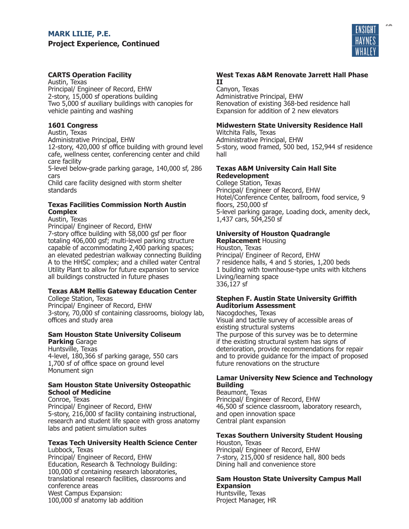# **MARK LILIE, P.E. Project Experience, Continued**



RESUMES

# **CARTS Operation Facility**

Austin, Texas Principal/ Engineer of Record, EHW 2-story, 15,000 sf operations building Two 5,000 sf auxiliary buildings with canopies for vehicle painting and washing

## **1601 Congress**

Austin, Texas

Administrative Principal, EHW

12-story, 420,000 sf office building with ground level cafe, wellness center, conferencing center and child care facility

5-level below-grade parking garage, 140,000 sf, 286 cars

Child care facility designed with storm shelter standards

## **Texas Facilities Commission North Austin Complex**

Austin, Texas

Principal/ Engineer of Record, EHW 7-story office building with 58,000 gsf per floor totaling 406,000 gsf; multi-level parking structure capable of accommodating 2,400 parking spaces; an elevated pedestrian walkway connecting Building A to the HHSC complex; and a chilled water Central Utility Plant to allow for future expansion to service all buildings constructed in future phases

# **Texas A&M Rellis Gateway Education Center**

College Station, Texas Principal/ Engineer of Record, EHW 3-story, 70,000 sf containing classrooms, biology lab, offices and study area

# **Sam Houston State University Coliseum**

**Parking** Garage Huntsville, Texas 4-level, 180,366 sf parking garage, 550 cars 1,700 sf of office space on ground level Monument sign

## **Sam Houston State University Osteopathic School of Medicine**

Conroe, Texas Principal/ Engineer of Record, EHW 5-story, 216,000 sf facility containing instructional, research and student life space with gross anatomy labs and patient simulation suites

#### **Texas Tech University Health Science Center** Lubbock, Texas

Principal/ Engineer of Record, EHW Education, Research & Technology Building: 100,000 sf containing research laboratories, translational research facilities, classrooms and conference areas West Campus Expansion: 100,000 sf anatomy lab addition

## **West Texas A&M Renovate Jarrett Hall Phase II**

Canyon, Texas Administrative Principal, EHW Renovation of existing 368-bed residence hall Expansion for addition of 2 new elevators

# **Midwestern State University Residence Hall**

Witchita Falls, Texas Administrative Principal, EHW 5-story, wood framed, 500 bed, 152,944 sf residence hall

## **Texas A&M University Cain Hall Site Redevelopment**

College Station, Texas Principal/ Engineer of Record, EHW Hotel/Conference Center, ballroom, food service, 9 floors, 250,000 sf 5-level parking garage, Loading dock, amenity deck, 1,437 cars, 504,250 sf

# **University of Houston Quadrangle**

**Replacement** Housing Houston, Texas Principal/ Engineer of Record, EHW 7 residence halls, 4 and 5 stories, 1,200 beds 1 building with townhouse-type units with kitchens Living/learning space 336,127 sf

## **Stephen F. Austin State University Griffith Auditorium Assessment**

Nacogdoches, Texas Visual and tactile survey of accessible areas of existing structural systems The purpose of this survey was be to determine if the existing structural system has signs of deterioration, provide recommendations for repair and to provide guidance for the impact of proposed future renovations on the structure

## **Lamar University New Science and Technology Building**

Beaumont, Texas Principal/ Engineer of Record, EHW 46,500 sf science classroom, laboratory research, and open innovation space Central plant expansion

## **Texas Southern University Student Housing**

Houston, Texas Principal/ Engineer of Record, EHW 7-story, 215,000 sf residence hall, 800 beds Dining hall and convenience store

## **Sam Houston State University Campus Mall Expansion**

Huntsville, Texas Project Manager, HR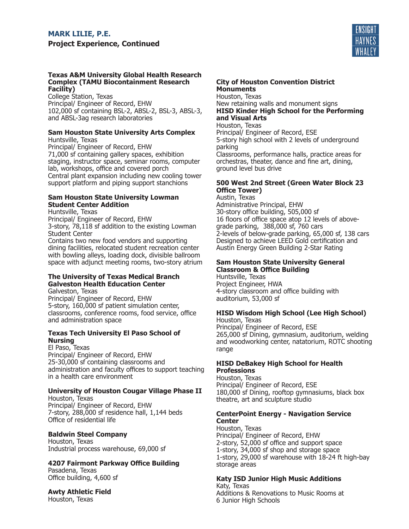

## **Texas A&M University Global Health Research Complex (TAMU Biocontainment Research Facility)**

College Station, Texas Principal/ Engineer of Record, EHW 102,000 sf containing BSL-2, ABSL-2, BSL-3, ABSL-3, and ABSL-3ag research laboratories

#### **Sam Houston State University Arts Complex** Huntsville, Texas

Principal/ Engineer of Record, EHW 71,000 sf containing gallery spaces, exhibition staging, instructor space, seminar rooms, computer lab, workshops, office and covered porch Central plant expansion including new cooling tower support platform and piping support stanchions

## **Sam Houston State University Lowman Student Center Addition**

Huntsville, Texas Principal/ Engineer of Record, EHW 3-story, 78,118 sf addition to the existing Lowman Student Center Contains two new food vendors and supporting dining facilities, relocated student recreation center with bowling alleys, loading dock, divisible ballroom space with adjunct meeting rooms, two-story atrium

## **The University of Texas Medical Branch Galveston Health Education Center**

Galveston, Texas Principal/ Engineer of Record, EHW 5-story, 160,000 sf patient simulation center, classrooms, conference rooms, food service, office and administration space

## **Texas Tech University El Paso School of Nursing**

El Paso, Texas Principal/ Engineer of Record, EHW 25-30,000 sf containing classrooms and administration and faculty offices to support teaching in a health care environment

## **University of Houston Cougar Village Phase II**

Houston, Texas Principal/ Engineer of Record, EHW 7-story, 288,000 sf residence hall, 1,144 beds Office of residential life

# **Baldwin Steel Company**

Houston, Texas Industrial process warehouse, 69,000 sf

# **4207 Fairmont Parkway Office Building**

Pasadena, Texas Office building, 4,600 sf

# **Awty Athletic Field**

Houston, Texas

## **City of Houston Convention District Monuments**

Houston, Texas New retaining walls and monument signs **HISD Kinder High School for the Performing and Visual Arts** Houston, Texas

Principal/ Engineer of Record, ESE 5-story high school with 2 levels of underground parking Classrooms, performance halls, practice areas for orchestras, theater, dance and fine art, dining, ground level bus drive

## **500 West 2nd Street (Green Water Block 23 Office Tower)**

Austin, Texas Administrative Principal, EHW 30-story office building, 505,000 sf 16 floors of office space atop 12 levels of abovegrade parking, 388,000 sf, 760 cars 2-levels of below-grade parking, 65,000 sf, 138 cars Designed to achieve LEED Gold certification and Austin Energy Green Building 2-Star Rating

## **Sam Houston State University General Classroom & Office Building**

Huntsville, Texas Project Engineer, HWA 4-story classroom and office building with auditorium, 53,000 sf

# **HISD Wisdom High School (Lee High School)**

Houston, Texas Principal/ Engineer of Record, ESE 265,000 sf Dining, gymnasium, auditorium, welding and woodworking center, natatorium, ROTC shooting range

## **HISD DeBakey High School for Health Professions**

Houston, Texas Principal/ Engineer of Record, ESE 180,000 sf Dining, rooftop gymnasiums, black box theatre, art and sculpture studio

## **CenterPoint Energy - Navigation Service Center**

Houston, Texas Principal/ Engineer of Record, EHW 2-story, 52,000 sf office and support space 1-story, 34,000 sf shop and storage space 1-story, 29,000 sf warehouse with 18-24 ft high-bay storage areas

#### **Katy ISD Junior High Music Additions** Katy, Texas

Additions & Renovations to Music Rooms at 6 Junior High Schools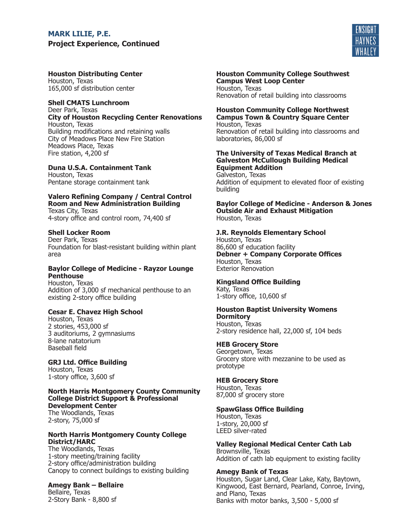# **MARK LILIE, P.E. Project Experience, Continued**



**Houston Distributing Center** Houston, Texas 165,000 sf distribution center

## **Shell CMATS Lunchroom**

Deer Park, Texas **City of Houston Recycling Center Renovations** Houston, Texas Building modifications and retaining walls City of Meadows Place New Fire Station Meadows Place, Texas Fire station, 4,200 sf

## **Duna U.S.A. Containment Tank**

Houston, Texas Pentane storage containment tank

# **Valero Refining Company / Central Control Room and New Administration Building**

Texas City, Texas 4-story office and control room, 74,400 sf

## **Shell Locker Room**

Deer Park, Texas Foundation for blast-resistant building within plant area

## **Baylor College of Medicine - Rayzor Lounge Penthouse**

Houston, Texas Addition of 3,000 sf mechanical penthouse to an existing 2-story office building

## **Cesar E. Chavez High School**

Houston, Texas 2 stories, 453,000 sf 3 auditoriums, 2 gymnasiums 8-lane natatorium Baseball field

## **GRJ Ltd. Office Building**

Houston, Texas 1-story office, 3,600 sf

#### **North Harris Montgomery County Community College District Support & Professional Development Center** The Woodlands, Texas 2-story, 75,000 sf

**North Harris Montgomery County College District/HARC**

The Woodlands, Texas 1-story meeting/training facility 2-story office/administration building Canopy to connect buildings to existing building

## **Amegy Bank – Bellaire**

Bellaire, Texas 2-Story Bank - 8,800 sf **Houston Community College Southwest Campus West Loop Center** Houston, Texas Renovation of retail building into classrooms

#### **Houston Community College Northwest Campus Town & Country Square Center** Houston, Texas Renovation of retail building into classrooms and laboratories, 86,000 sf

## **The University of Texas Medical Branch at Galveston McCullough Building Medical Equipment Addition**

Galveston, Texas Addition of equipment to elevated floor of existing building

#### **Baylor College of Medicine - Anderson & Jones Outside Air and Exhaust Mitigation** Houston, Texas

## **J.R. Reynolds Elementary School**

Houston, Texas 86,600 sf education facility **Debner + Company Corporate Offices** Houston, Texas Exterior Renovation

## **Kingsland Office Building**

Katy, Texas 1-story office, 10,600 sf

#### **Houston Baptist University Womens Dormitory**

Houston, Texas 2-story residence hall, 22,000 sf, 104 beds

## **HEB Grocery Store**

Georgetown, Texas Grocery store with mezzanine to be used as prototype

## **HEB Grocery Store**

Houston, Texas 87,000 sf grocery store

## **SpawGlass Office Building**

Houston, Texas 1-story, 20,000 sf LEED silver-rated

# **Valley Regional Medical Center Cath Lab**

Brownsville, Texas Addition of cath lab equipment to existing facility

## **Amegy Bank of Texas**

Houston, Sugar Land, Clear Lake, Katy, Baytown, Kingwood, East Bernard, Pearland, Conroe, Irving, and Plano, Texas Banks with motor banks, 3,500 - 5,000 sf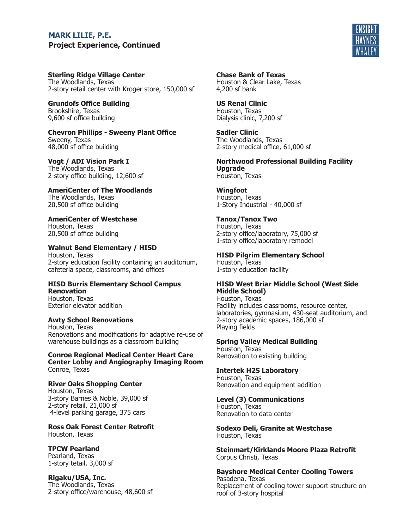# PROJECT EXPERIENCE, CONT **Project Experience, ContinuedMARK LILIE, P.E.**



**Sterling Ridge Village Center** The Woodlands, Texas 2-story retail center with Kroger store, 150,000 sf

**Grundofs Office Building** Brookshire, Texas 9,600 sf office building

**Chevron Phillips - Sweeny Plant Office** Sweeny, Texas 48,000 sf office building

**Vogt / ADI Vision Park I** The Woodlands, Texas 2-story office building, 12,600 sf

**AmeriCenter of The Woodlands** The Woodlands, Texas 20,500 sf office building

**AmeriCenter of Westchase** Houston, Texas 20,500 sf office building

**Walnut Bend Elementary / HISD** Houston, Texas

2-story education facility containing an auditorium, cafeteria space, classrooms, and offices

# **HISD Burris Elementary School Campus Renovation**

Houston, Texas Exterior elevator addition

**Awty School Renovations** Houston, Texas Renovations and modifications for adaptive re-use of warehouse buildings as a classroom building

**Conroe Regional Medical Center Heart Care Center Lobby and Angiography Imaging Room** Conroe, Texas

**River Oaks Shopping Center**  Houston, Texas

3-story Barnes & Noble, 39,000 sf 2-story retail, 21,000 sf 4-level parking garage, 375 cars

**Ross Oak Forest Center Retrofit** Houston, Texas

**TPCW Pearland** Pearland, Texas 1-story tetail, 3,000 sf

**Rigaku/USA, Inc.** The Woodlands, Texas 2-story office/warehouse, 48,600 sf **Chase Bank of Texas**

Houston & Clear Lake, Texas 4,200 sf bank

**US Renal Clinic** Houston, Texas Dialysis clinic, 7,200 sf

**Sadler Clinic** The Woodlands, Texas 2-story medical office, 61,000 sf

**Northwood Professional Building Facility Upgrade** Houston, Texas

**Wingfoot** Houston, Texas

1-Story Industrial - 40,000 sf **Tanox/Tanox Two**

Houston, Texas 2-story office/laboratory, 75,000 sf 1-story office/laboratory remodel

**HISD Pilgrim Elementary School**

Houston, Texas 1-story education facility

## **HISD West Briar Middle School (West Side Middle School)**

Houston, Texas Facility includes classrooms, resource center, laboratories, gymnasium, 430-seat auditorium, and 2-story academic spaces, 186,000 sf Playing fields

**Spring Valley Medical Building**

Houston, Texas Renovation to existing building

**Intertek H2S Laboratory** Houston, Texas Renovation and equipment addition

**Level (3) Communications** Houston, Texas Renovation to data center

**Sodexo Deli, Granite at Westchase** Houston, Texas

**Steinmart/Kirklands Moore Plaza Retrofit** Corpus Christi, Texas

**Bayshore Medical Center Cooling Towers** Pasadena, Texas Replacement of cooling tower support structure on roof of 3-story hospital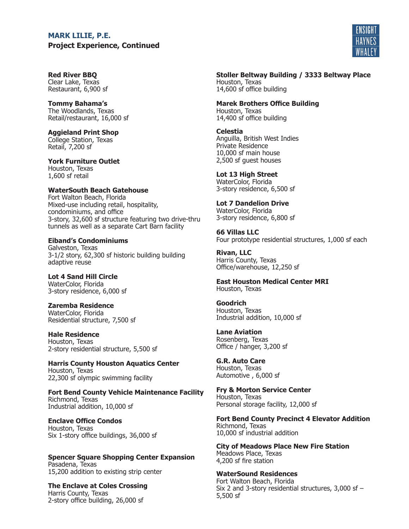# **MARK LILIE, P.E.**

**Project Experience, Continued** 



## **Red River BBQ**

Clear Lake, Texas Restaurant, 6,900 sf

## **Tommy Bahama's**

The Woodlands, Texas Retail/restaurant, 16,000 sf

# **Aggieland Print Shop**

College Station, Texas Retail, 7,200 sf

### **York Furniture Outlet** Houston, Texas 1,600 sf retail

# **WaterSouth Beach Gatehouse**

Fort Walton Beach, Florida Mixed-use including retail, hospitality, condominiums, and office 3-story, 32,600 sf structure featuring two drive-thru tunnels as well as a separate Cart Barn facility

## **Eiband's Condominiums**

Galveston, Texas 3-1/2 story, 62,300 sf historic building building adaptive reuse

**Lot 4 Sand Hill Circle** WaterColor, Florida 3-story residence, 6,000 sf

#### **Zaremba Residence** WaterColor, Florida Residential structure, 7,500 sf

**Hale Residence** Houston, Texas 2-story residential structure, 5,500 sf

**Harris County Houston Aquatics Center** Houston, Texas 22,300 sf olympic swimming facility

**Fort Bend County Vehicle Maintenance Facility** Richmond, Texas Industrial addition, 10,000 sf

## **Enclave Office Condos** Houston, Texas Six 1-story office buildings, 36,000 sf

#### **Spencer Square Shopping Center Expansion** Pasadena, Texas 15,200 addition to existing strip center

**The Enclave at Coles Crossing** Harris County, Texas 2-story office building, 26,000 sf

#### **Stoller Beltway Building / 3333 Beltway Place** Houston, Texas 14,600 sf office building

## **Marek Brothers Office Building** Houston, Texas

14,400 sf office building

# **Celestia**

Anguilla, British West Indies Private Residence 10,000 sf main house 2,500 sf guest houses

# **Lot 13 High Street**

WaterColor, Florida 3-story residence, 6,500 sf

### **Lot 7 Dandelion Drive** WaterColor, Florida 3-story residence, 6,800 sf

**66 Villas LLC** Four prototype residential structures, 1,000 sf each

**Rivan, LLC** Harris County, Texas Office/warehouse, 12,250 sf

**East Houston Medical Center MRI** Houston, Texas

**Goodrich** Houston, Texas Industrial addition, 10,000 sf

**Lane Aviation** Rosenberg, Texas Office / hanger, 3,200 sf

**G.R. Auto Care** Houston, Texas Automotive , 6,000 sf

#### **Fry & Morton Service Center** Houston, Texas Personal storage facility, 12,000 sf

**Fort Bend County Precinct 4 Elevator Addition** Richmond, Texas 10,000 sf industrial addition

**City of Meadows Place New Fire Station** Meadows Place, Texas 4,200 sf fire station

#### **WaterSound Residences** Fort Walton Beach, Florida Six 2 and 3-story residential structures, 3,000 sf – 5,500 sf